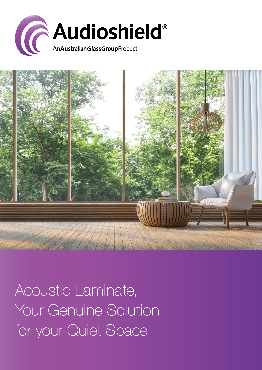



Acoustic Laminate, Your Genuine Solution for your Quiet Space